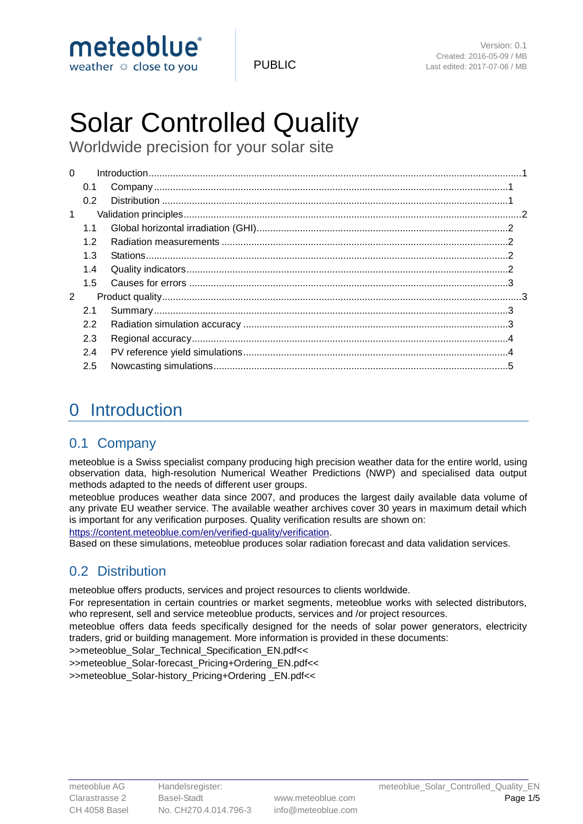

# Solar Controlled Quality

Worldwide precision for your solar site

| $\Omega$      |     |  |
|---------------|-----|--|
|               | 0.1 |  |
|               | 0.2 |  |
| $\mathbf{1}$  |     |  |
|               | 1.1 |  |
|               | 1.2 |  |
|               | 1.3 |  |
|               | 1.4 |  |
|               | 1.5 |  |
| $\mathcal{P}$ |     |  |
|               | 2.1 |  |
|               | 2.2 |  |
|               | 2.3 |  |
|               | 2.4 |  |
|               | 2.5 |  |

# <span id="page-0-0"></span>0 Introduction

### <span id="page-0-1"></span>0.1 Company

meteoblue is a Swiss specialist company producing high precision weather data for the entire world, using observation data, high-resolution Numerical Weather Predictions (NWP) and specialised data output methods adapted to the needs of different user groups.

meteoblue produces weather data since 2007, and produces the largest daily available data volume of any private EU weather service. The available weather archives cover 30 years in maximum detail which is important for any verification purposes. Quality verification results are shown on:

[https://content.meteoblue.com/en/verified-quality/verification.](https://content.meteoblue.com/en/verified-quality/verification)

Based on these simulations, meteoblue produces solar radiation forecast and data validation services.

# <span id="page-0-2"></span>0.2 Distribution

meteoblue offers products, services and project resources to clients worldwide.

For representation in certain countries or market segments, meteoblue works with selected distributors, who represent, sell and service meteoblue products, services and /or project resources.

meteoblue offers data feeds specifically designed for the needs of solar power generators, electricity traders, grid or building management. More information is provided in these documents:

>>meteoblue Solar Technical Specification EN.pdf<<

>>meteoblue\_Solar-forecast\_Pricing+Ordering\_EN.pdf<<

>>meteoblue\_Solar-history\_Pricing+Ordering EN.pdf<<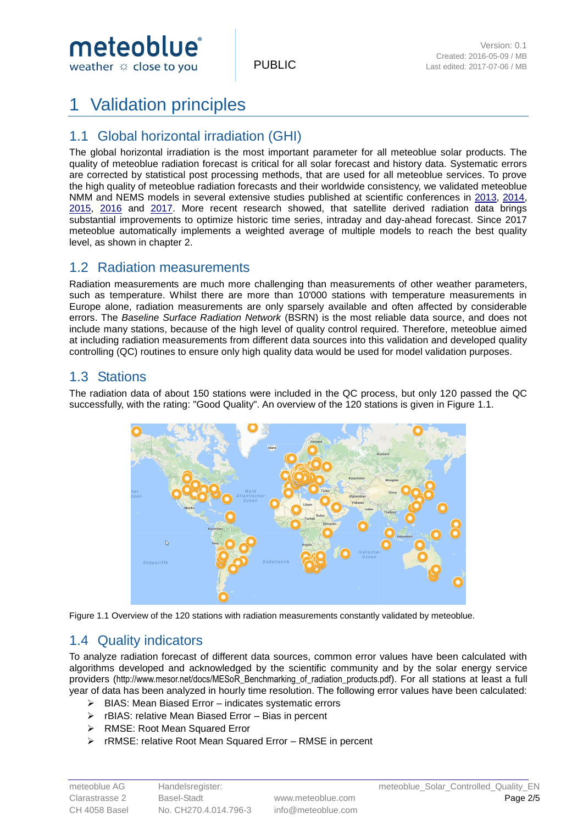

# <span id="page-1-0"></span>**Validation principles**

### <span id="page-1-1"></span>1.1 Global horizontal irradiation (GHI)

The global horizontal irradiation is the most important parameter for all meteoblue solar products. The quality of meteoblue radiation forecast is critical for all solar forecast and history data. Systematic errors are corrected by statistical post processing methods, that are used for all meteoblue services. To prove the high quality of meteoblue radiation forecasts and their worldwide consistency, we validated meteoblue NMM and NEMS models in several extensive studies published at scientific conferences in [2013,](http://content.meteoblue.com/de/content/download/4611/220033/version/1/file/SCRIPT_Bad_Staffelstein_NMM-Strahlungsdaten.pdf) [2014,](https://content.meteoblue.com/de/content/download/4615/220063/version/2/file/SCRIPT_Bad_Staffelstein_Strahlungsvorhersagen+NMM_MOS.pdf) [2015,](https://content.meteoblue.com/de/content/download/4621/220081/version/1/file/SCRIPT_MOS-Optimierte_Prognosen_fuer_PV-Anlagen_20150107.pdf) [2016](https://content.meteoblue.com/mb_admin/content/download/5509/228685/version/1/file/meteoblue_poster_PV-PMC_radiation-variability.pdf) and [2017.](https://content.meteoblue.com/mb_admin/content/download/5527/229831/version/1/file/SCRIPT_Strahlungsprognosen_in+Abhaenigkeit_der_Klimazone_2017.pdf) More recent research showed, that satellite derived radiation data brings substantial improvements to optimize historic time series, intraday and day-ahead forecast. Since 2017 meteoblue automatically implements a weighted average of multiple models to reach the best quality level, as shown in chapter 2.

#### <span id="page-1-2"></span>1.2 Radiation measurements

Radiation measurements are much more challenging than measurements of other weather parameters, such as temperature. Whilst there are more than 10'000 stations with temperature measurements in Europe alone, radiation measurements are only sparsely available and often affected by considerable errors. The *Baseline Surface Radiation Network* (BSRN) is the most reliable data source, and does not include many stations, because of the high level of quality control required. Therefore, meteoblue aimed at including radiation measurements from different data sources into this validation and developed quality controlling (QC) routines to ensure only high quality data would be used for model validation purposes.

#### <span id="page-1-3"></span>1.3 Stations

The radiation data of about 150 stations were included in the QC process, but only 120 passed the QC successfully, with the rating: "Good Quality". An overview of the 120 stations is given in [Figure 1.1.](#page-1-5)



<span id="page-1-5"></span>Figure 1.1 Overview of the 120 stations with radiation measurements constantly validated by meteoblue.

## <span id="page-1-4"></span>1.4 Quality indicators

To analyze radiation forecast of different data sources, common error values have been calculated with algorithms developed and acknowledged by the scientific community and by the solar energy service providers (http://www.mesor.net/docs/MESoR\_Benchmarking\_of\_radiation\_products.pdf). For all stations at least a full year of data has been analyzed in hourly time resolution. The following error values have been calculated:

- ▶ BIAS: Mean Biased Error indicates systematic errors
- rBIAS: relative Mean Biased Error Bias in percent
- ▶ RMSE: Root Mean Squared Error
- rRMSE: relative Root Mean Squared Error RMSE in percent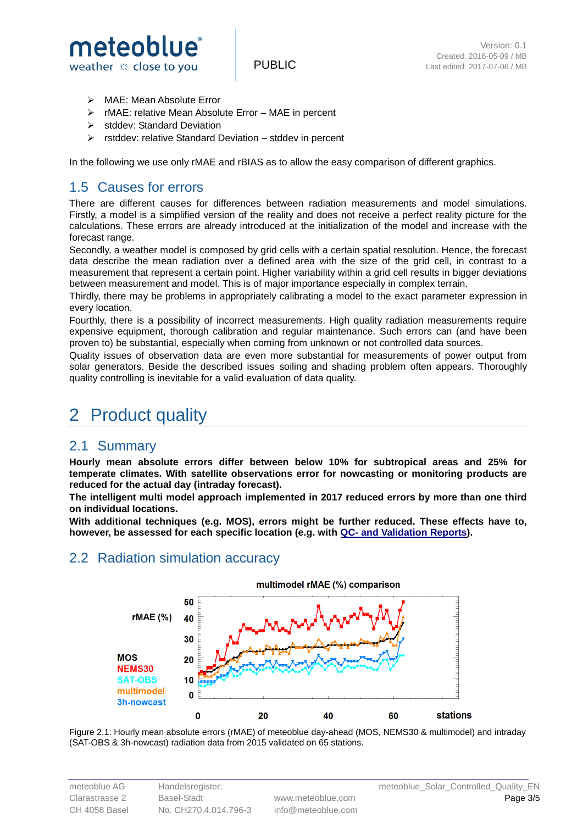

- > MAE: Mean Absolute Error
- rMAE: relative Mean Absolute Error MAE in percent
- $\triangleright$  stddev: Standard Deviation
- $\triangleright$  rstddev: relative Standard Deviation stddev in percent

In the following we use only rMAE and rBIAS as to allow the easy comparison of different graphics.

#### <span id="page-2-0"></span>1.5 Causes for errors

There are different causes for differences between radiation measurements and model simulations. Firstly, a model is a simplified version of the reality and does not receive a perfect reality picture for the calculations. These errors are already introduced at the initialization of the model and increase with the forecast range.

Secondly, a weather model is composed by grid cells with a certain spatial resolution. Hence, the forecast data describe the mean radiation over a defined area with the size of the grid cell, in contrast to a measurement that represent a certain point. Higher variability within a grid cell results in bigger deviations between measurement and model. This is of major importance especially in complex terrain.

Thirdly, there may be problems in appropriately calibrating a model to the exact parameter expression in every location.

Fourthly, there is a possibility of incorrect measurements. High quality radiation measurements require expensive equipment, thorough calibration and regular maintenance. Such errors can (and have been proven to) be substantial, especially when coming from unknown or not controlled data sources.

Quality issues of observation data are even more substantial for measurements of power output from solar generators. Beside the described issues soiling and shading problem often appears. Thoroughly quality controlling is inevitable for a valid evaluation of data quality.

# <span id="page-2-1"></span>2 Product quality

#### <span id="page-2-2"></span>2.1 Summary

**Hourly mean absolute errors differ between below 10% for subtropical areas and 25% for temperate climates. With satellite observations error for nowcasting or monitoring products are reduced for the actual day (intraday forecast).**

**The intelligent multi model approach implemented in 2017 reduced errors by more than one third on individual locations.** 

**With additional techniques (e.g. MOS), errors might be further reduced. These effects have to, however, be assessed for each specific location (e.g. with QC- [and Validation Reports\)](https://content.meteoblue.com/en/content/download/4569/219807/file/QCandVALID-Report_sample%2001%20O.pdf).**

#### <span id="page-2-3"></span>2.2 Radiation simulation accuracy



<span id="page-2-4"></span>Figure 2.1: Hourly mean absolute errors (rMAE) of meteoblue day-ahead (MOS, NEMS30 & multimodel) and intraday (SAT-OBS & 3h-nowcast) radiation data from 2015 validated on 65 stations.

CH 4058 Basel No. CH270.4.014.796-3 info@meteoblue.com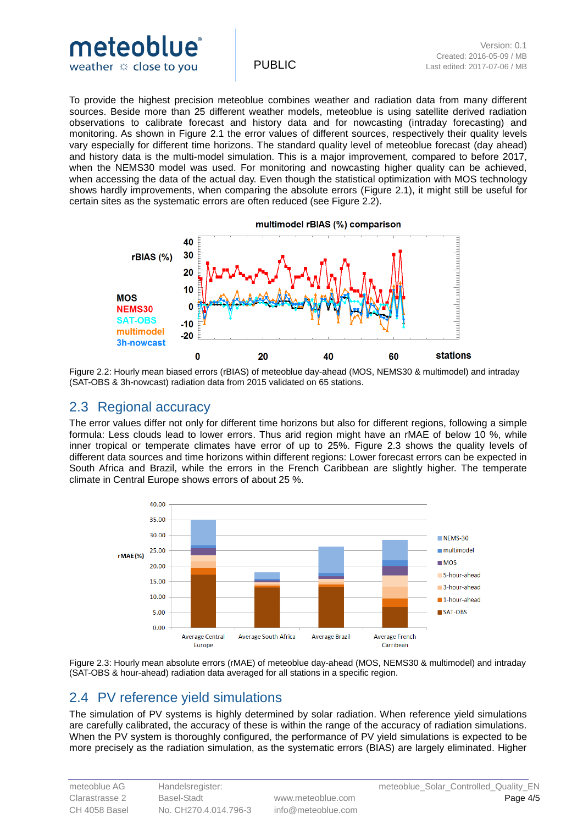

To provide the highest precision meteoblue combines weather and radiation data from many different sources. Beside more than 25 different weather models, meteoblue is using satellite derived radiation observations to calibrate forecast and history data and for nowcasting (intraday forecasting) and monitoring. As shown in [Figure 2.1](#page-2-4) the error values of different sources, respectively their quality levels vary especially for different time horizons. The standard quality level of meteoblue forecast (day ahead) and history data is the multi-model simulation. This is a major improvement, compared to before 2017, when the NEMS30 model was used. For monitoring and nowcasting higher quality can be achieved, when accessing the data of the actual day. Even though the statistical optimization with MOS technology shows hardly improvements, when comparing the absolute errors [\(Figure 2.1\)](#page-2-4), it might still be useful for certain sites as the systematic errors are often reduced (see [Figure 2.2\)](#page-3-2).



<span id="page-3-2"></span>Figure 2.2: Hourly mean biased errors (rBIAS) of meteoblue day-ahead (MOS, NEMS30 & multimodel) and intraday (SAT-OBS & 3h-nowcast) radiation data from 2015 validated on 65 stations.

#### <span id="page-3-0"></span>2.3 Regional accuracy

The error values differ not only for different time horizons but also for different regions, following a simple formula: Less clouds lead to lower errors. Thus arid region might have an rMAE of below 10 %, while inner tropical or temperate climates have error of up to 25%. [Figure 2.3](#page-3-3) shows the quality levels of different data sources and time horizons within different regions: Lower forecast errors can be expected in South Africa and Brazil, while the errors in the French Caribbean are slightly higher. The temperate climate in Central Europe shows errors of about 25 %.



<span id="page-3-3"></span>Figure 2.3: Hourly mean absolute errors (rMAE) of meteoblue day-ahead (MOS, NEMS30 & multimodel) and intraday (SAT-OBS & hour-ahead) radiation data averaged for all stations in a specific region.

### <span id="page-3-1"></span>2.4 PV reference yield simulations

The simulation of PV systems is highly determined by solar radiation. When reference yield simulations are carefully calibrated, the accuracy of these is within the range of the accuracy of radiation simulations. When the PV system is thoroughly configured, the performance of PV yield simulations is expected to be more precisely as the radiation simulation, as the systematic errors (BIAS) are largely eliminated. Higher

CH 4058 Basel No. CH270.4.014.796-3 info@meteoblue.com